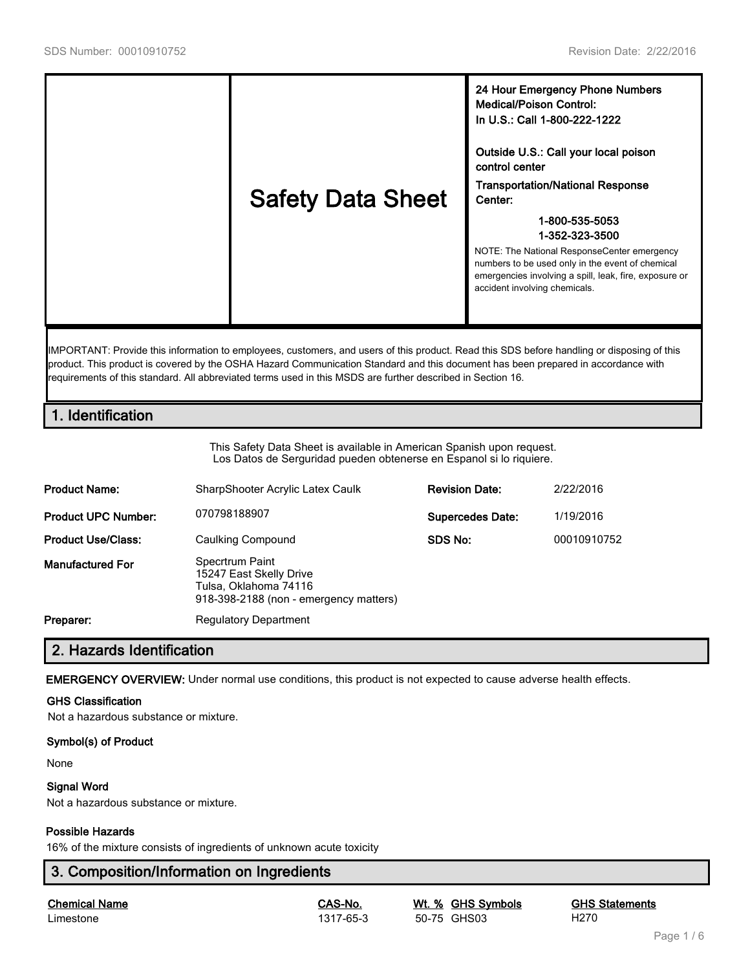

IMPORTANT: Provide this information to employees, customers, and users of this product. Read this SDS before handling or disposing of this product. This product is covered by the OSHA Hazard Communication Standard and this document has been prepared in accordance with requirements of this standard. All abbreviated terms used in this MSDS are further described in Section 16.

# **1. Identification**

This Safety Data Sheet is available in American Spanish upon request. Los Datos de Serguridad pueden obtenerse en Espanol si lo riquiere.

| <b>Product Name:</b>       | SharpShooter Acrylic Latex Caulk                                                                              | <b>Revision Date:</b>   | 2/22/2016   |
|----------------------------|---------------------------------------------------------------------------------------------------------------|-------------------------|-------------|
| <b>Product UPC Number:</b> | 070798188907                                                                                                  | <b>Supercedes Date:</b> | 1/19/2016   |
| <b>Product Use/Class:</b>  | Caulking Compound                                                                                             | SDS No:                 | 00010910752 |
| <b>Manufactured For</b>    | Specrtrum Paint<br>15247 East Skelly Drive<br>Tulsa, Oklahoma 74116<br>918-398-2188 (non - emergency matters) |                         |             |
| Preparer:                  | <b>Regulatory Department</b>                                                                                  |                         |             |

# **2. Hazards Identification**

**EMERGENCY OVERVIEW:** Under normal use conditions, this product is not expected to cause adverse health effects.

#### **GHS Classification**

Not a hazardous substance or mixture.

#### **Symbol(s) of Product**

None

#### **Signal Word**

Not a hazardous substance or mixture.

#### **Possible Hazards**

16% of the mixture consists of ingredients of unknown acute toxicity

# **3. Composition/Information on Ingredients**

**Chemical Name CAS-No. Wt. % GHS Symbols GHS Statements** Limestone 1317-65-3 50-75 GHS03 H270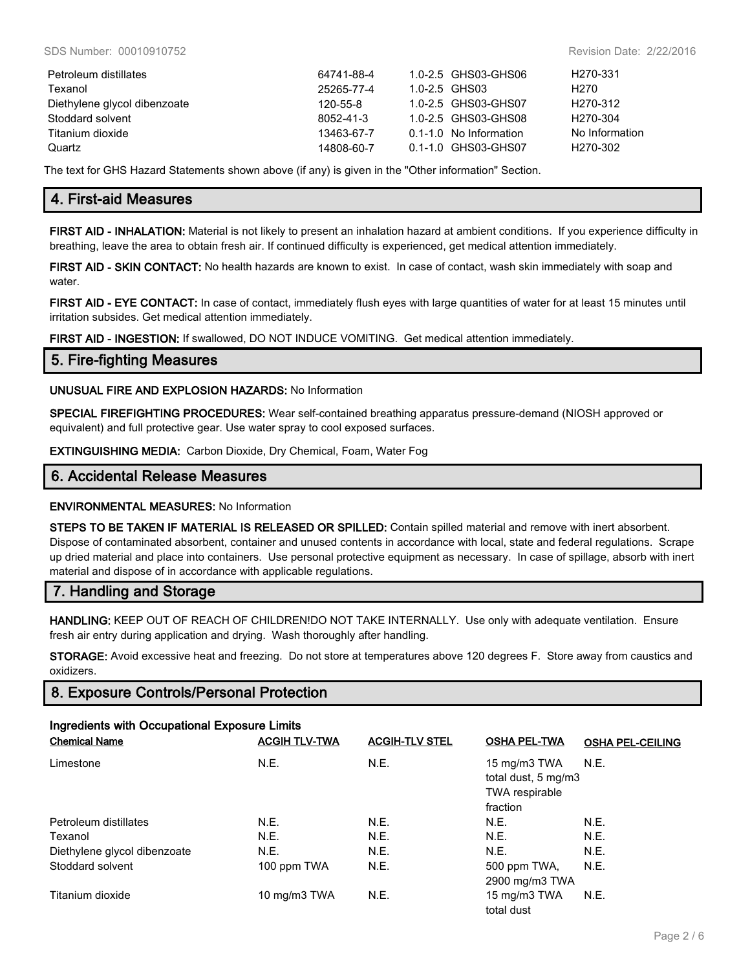| Petroleum distillates        | 64741-88-4 | 1.0-2.5 GHS03-GHS06    | H <sub>270-331</sub> |
|------------------------------|------------|------------------------|----------------------|
| Texanol                      | 25265-77-4 | $1.0 - 2.5$ GHS03      | H270                 |
| Diethylene glycol dibenzoate | 120-55-8   | 1.0-2.5 GHS03-GHS07    | H <sub>270-312</sub> |
| Stoddard solvent             | 8052-41-3  | 1.0-2.5 GHS03-GHS08    | H <sub>270-304</sub> |
| Titanium dioxide             | 13463-67-7 | 0.1-1.0 No Information | No Information       |
| Quartz                       | 14808-60-7 | 0.1-1.0 GHS03-GHS07    | H <sub>270-302</sub> |

The text for GHS Hazard Statements shown above (if any) is given in the "Other information" Section.

# **4. First-aid Measures**

**FIRST AID - INHALATION:** Material is not likely to present an inhalation hazard at ambient conditions. If you experience difficulty in breathing, leave the area to obtain fresh air. If continued difficulty is experienced, get medical attention immediately.

**FIRST AID - SKIN CONTACT:** No health hazards are known to exist. In case of contact, wash skin immediately with soap and water.

**FIRST AID - EYE CONTACT:** In case of contact, immediately flush eyes with large quantities of water for at least 15 minutes until irritation subsides. Get medical attention immediately.

**FIRST AID - INGESTION:** If swallowed, DO NOT INDUCE VOMITING. Get medical attention immediately.

## **5. Fire-fighting Measures**

#### **UNUSUAL FIRE AND EXPLOSION HAZARDS:** No Information

**SPECIAL FIREFIGHTING PROCEDURES:** Wear self-contained breathing apparatus pressure-demand (NIOSH approved or equivalent) and full protective gear. Use water spray to cool exposed surfaces.

**EXTINGUISHING MEDIA:** Carbon Dioxide, Dry Chemical, Foam, Water Fog

## **6. Accidental Release Measures**

### **ENVIRONMENTAL MEASURES:** No Information

**STEPS TO BE TAKEN IF MATERIAL IS RELEASED OR SPILLED:** Contain spilled material and remove with inert absorbent. Dispose of contaminated absorbent, container and unused contents in accordance with local, state and federal regulations. Scrape up dried material and place into containers. Use personal protective equipment as necessary. In case of spillage, absorb with inert material and dispose of in accordance with applicable regulations.

# **7. Handling and Storage**

**HANDLING:** KEEP OUT OF REACH OF CHILDREN!DO NOT TAKE INTERNALLY. Use only with adequate ventilation. Ensure fresh air entry during application and drying. Wash thoroughly after handling.

**STORAGE:** Avoid excessive heat and freezing. Do not store at temperatures above 120 degrees F. Store away from caustics and oxidizers.

# **8. Exposure Controls/Personal Protection**

# **Ingredients with Occupational Exposure Limits**

| <b>Chemical Name</b>         | <b>ACGIH TLV-TWA</b> | <b>ACGIH-TLV STEL</b> | <b>OSHA PEL-TWA</b>                                                      | <b>OSHA PEL-CEILING</b> |
|------------------------------|----------------------|-----------------------|--------------------------------------------------------------------------|-------------------------|
| Limestone                    | N.E.                 | N.E.                  | 15 mg/m3 TWA<br>total dust, 5 mg/m3<br><b>TWA</b> respirable<br>fraction | <b>N.E.</b>             |
| Petroleum distillates        | N.E.                 | N.E.                  | N.E.                                                                     | N.E.                    |
| Texanol                      | N.E.                 | N.E.                  | N.E.                                                                     | N.E.                    |
| Diethylene glycol dibenzoate | N.E.                 | N.E.                  | N.E.                                                                     | N.E.                    |
| Stoddard solvent             | 100 ppm TWA          | N.E.                  | 500 ppm TWA,<br>2900 mg/m3 TWA                                           | N.E.                    |
| Titanium dioxide             | 10 mg/m3 TWA         | N.E.                  | 15 mg/m3 TWA<br>total dust                                               | N.E.                    |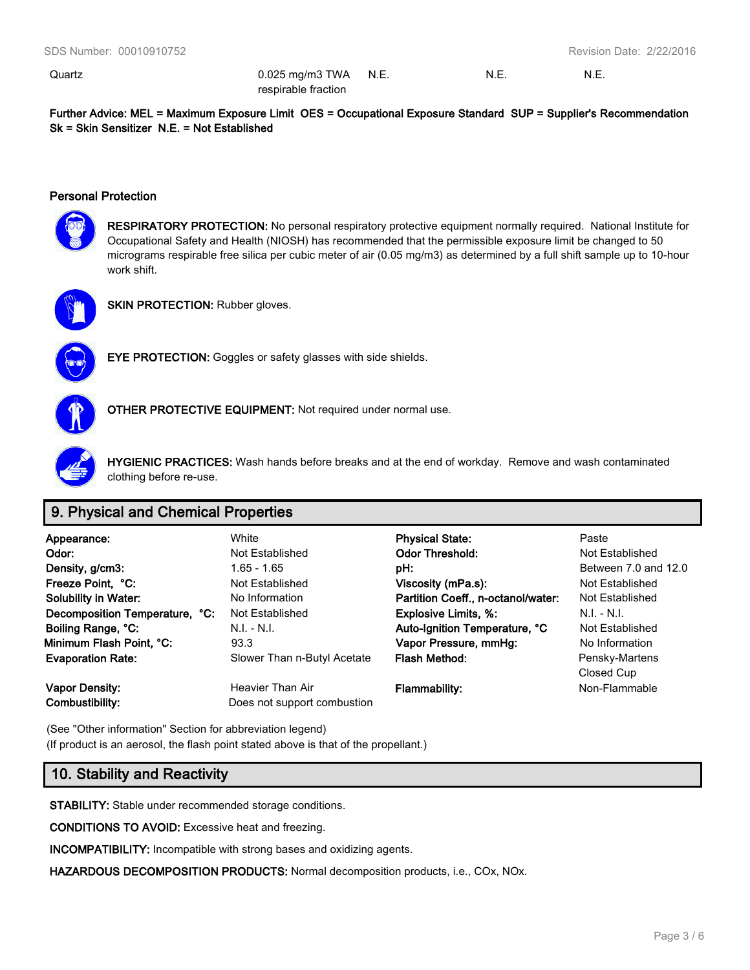Quartz 0.025 mg/m3 TWA respirable fraction N.E. N.E. N.E.

**Further Advice: MEL = Maximum Exposure Limit OES = Occupational Exposure Standard SUP = Supplier's Recommendation Sk = Skin Sensitizer N.E. = Not Established**

### **Personal Protection**



**RESPIRATORY PROTECTION:** No personal respiratory protective equipment normally required. National Institute for Occupational Safety and Health (NIOSH) has recommended that the permissible exposure limit be changed to 50 micrograms respirable free silica per cubic meter of air (0.05 mg/m3) as determined by a full shift sample up to 10-hour work shift.



**SKIN PROTECTION: Rubber gloves.** 



**EYE PROTECTION:** Goggles or safety glasses with side shields.



**OTHER PROTECTIVE EQUIPMENT:** Not required under normal use.



**HYGIENIC PRACTICES:** Wash hands before breaks and at the end of workday. Remove and wash contaminated clothing before re-use.

# **9. Physical and Chemical Properties**

| Appearance:                    | White                       | <b>Physical State:</b>             | Paste                |
|--------------------------------|-----------------------------|------------------------------------|----------------------|
| Odor:                          | Not Established             | <b>Odor Threshold:</b>             | Not Established      |
| Density, g/cm3:                | $1.65 - 1.65$               | pH:                                | Between 7.0 and 12.0 |
| Freeze Point, °C:              | Not Established             | Viscosity (mPa.s):                 | Not Established      |
| <b>Solubility in Water:</b>    | No Information              | Partition Coeff., n-octanol/water: | Not Established      |
| Decomposition Temperature, °C: | Not Established             | <b>Explosive Limits, %:</b>        | $N.I. - N.I.$        |
| Boiling Range, °C:             | $N.I. - N.I.$               | Auto-Ignition Temperature, °C      | Not Established      |
| Minimum Flash Point, °C:       | 93.3                        | Vapor Pressure, mmHg:              | No Information       |
| <b>Evaporation Rate:</b>       | Slower Than n-Butyl Acetate | <b>Flash Method:</b>               | Pensky-Martens       |
|                                |                             |                                    | Closed Cup           |
| Vapor Density:                 | Heavier Than Air            | <b>Flammability:</b>               | Non-Flammable        |
| Combustibility:                | Does not support combustion |                                    |                      |

(See "Other information" Section for abbreviation legend) (If product is an aerosol, the flash point stated above is that of the propellant.)

# **10. Stability and Reactivity**

**STABILITY:** Stable under recommended storage conditions.

**CONDITIONS TO AVOID:** Excessive heat and freezing.

**INCOMPATIBILITY:** Incompatible with strong bases and oxidizing agents.

**HAZARDOUS DECOMPOSITION PRODUCTS:** Normal decomposition products, i.e., COx, NOx.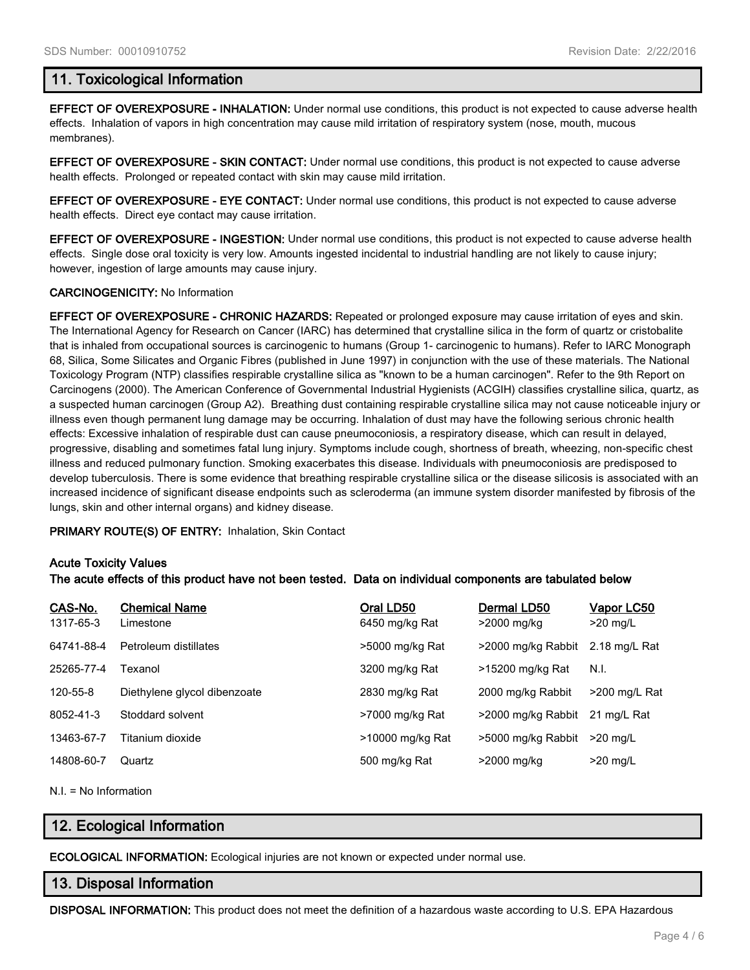## **11. Toxicological Information**

**EFFECT OF OVEREXPOSURE - INHALATION:** Under normal use conditions, this product is not expected to cause adverse health effects. Inhalation of vapors in high concentration may cause mild irritation of respiratory system (nose, mouth, mucous membranes).

**EFFECT OF OVEREXPOSURE - SKIN CONTACT:** Under normal use conditions, this product is not expected to cause adverse health effects. Prolonged or repeated contact with skin may cause mild irritation.

**EFFECT OF OVEREXPOSURE - EYE CONTACT:** Under normal use conditions, this product is not expected to cause adverse health effects. Direct eye contact may cause irritation.

**EFFECT OF OVEREXPOSURE - INGESTION:** Under normal use conditions, this product is not expected to cause adverse health effects. Single dose oral toxicity is very low. Amounts ingested incidental to industrial handling are not likely to cause injury; however, ingestion of large amounts may cause injury.

#### **CARCINOGENICITY:** No Information

**EFFECT OF OVEREXPOSURE - CHRONIC HAZARDS:** Repeated or prolonged exposure may cause irritation of eyes and skin. The International Agency for Research on Cancer (IARC) has determined that crystalline silica in the form of quartz or cristobalite that is inhaled from occupational sources is carcinogenic to humans (Group 1- carcinogenic to humans). Refer to IARC Monograph 68, Silica, Some Silicates and Organic Fibres (published in June 1997) in conjunction with the use of these materials. The National Toxicology Program (NTP) classifies respirable crystalline silica as "known to be a human carcinogen". Refer to the 9th Report on Carcinogens (2000). The American Conference of Governmental Industrial Hygienists (ACGIH) classifies crystalline silica, quartz, as a suspected human carcinogen (Group A2). Breathing dust containing respirable crystalline silica may not cause noticeable injury or illness even though permanent lung damage may be occurring. Inhalation of dust may have the following serious chronic health effects: Excessive inhalation of respirable dust can cause pneumoconiosis, a respiratory disease, which can result in delayed, progressive, disabling and sometimes fatal lung injury. Symptoms include cough, shortness of breath, wheezing, non-specific chest illness and reduced pulmonary function. Smoking exacerbates this disease. Individuals with pneumoconiosis are predisposed to develop tuberculosis. There is some evidence that breathing respirable crystalline silica or the disease silicosis is associated with an increased incidence of significant disease endpoints such as scleroderma (an immune system disorder manifested by fibrosis of the lungs, skin and other internal organs) and kidney disease.

**PRIMARY ROUTE(S) OF ENTRY:** Inhalation, Skin Contact

#### **Acute Toxicity Values**

**The acute effects of this product have not been tested. Data on individual components are tabulated below**

| CAS-No.<br>1317-65-3 | <b>Chemical Name</b><br>Limestone | Oral LD50<br>6450 mg/kg Rat | Dermal LD50<br>>2000 mg/kg | <u>Vapor LC50</u><br>$>20$ mg/L |
|----------------------|-----------------------------------|-----------------------------|----------------------------|---------------------------------|
| 64741-88-4           | Petroleum distillates             | >5000 mg/kg Rat             | >2000 mg/kg Rabbit         | 2.18 mg/L Rat                   |
| 25265-77-4           | Texanol                           | 3200 mg/kg Rat              | >15200 mg/kg Rat           | N.I.                            |
| 120-55-8             | Diethylene glycol dibenzoate      | 2830 mg/kg Rat              | 2000 mg/kg Rabbit          | $>200$ mg/L Rat                 |
| 8052-41-3            | Stoddard solvent                  | >7000 mg/kg Rat             | >2000 mg/kg Rabbit         | 21 mg/L Rat                     |
| 13463-67-7           | Titanium dioxide                  | >10000 mg/kg Rat            | >5000 mg/kg Rabbit         | $>20$ mg/L                      |
| 14808-60-7           | Quartz                            | 500 mg/kg Rat               | >2000 mg/kg                | $>20$ mg/L                      |

N.I. = No Information

# **12. Ecological Information**

**ECOLOGICAL INFORMATION:** Ecological injuries are not known or expected under normal use.

### **13. Disposal Information**

**DISPOSAL INFORMATION:** This product does not meet the definition of a hazardous waste according to U.S. EPA Hazardous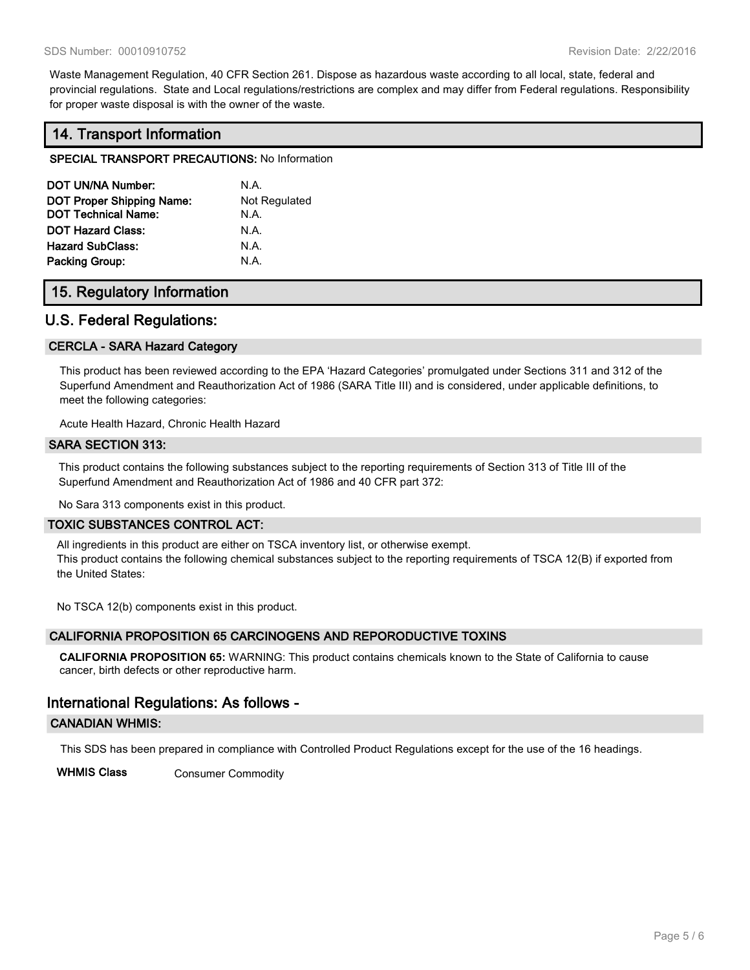Waste Management Regulation, 40 CFR Section 261. Dispose as hazardous waste according to all local, state, federal and provincial regulations. State and Local regulations/restrictions are complex and may differ from Federal regulations. Responsibility for proper waste disposal is with the owner of the waste.

# **14. Transport Information**

#### **SPECIAL TRANSPORT PRECAUTIONS:** No Information

| DOT UN/NA Number:                | N.A.          |
|----------------------------------|---------------|
| <b>DOT Proper Shipping Name:</b> | Not Regulated |
| <b>DOT Technical Name:</b>       | N.A.          |
| <b>DOT Hazard Class:</b>         | N.A.          |
| <b>Hazard SubClass:</b>          | N.A.          |
| <b>Packing Group:</b>            | N.A.          |

## **15. Regulatory Information**

# **U.S. Federal Regulations:**

#### **CERCLA - SARA Hazard Category**

This product has been reviewed according to the EPA 'Hazard Categories' promulgated under Sections 311 and 312 of the Superfund Amendment and Reauthorization Act of 1986 (SARA Title III) and is considered, under applicable definitions, to meet the following categories:

Acute Health Hazard, Chronic Health Hazard

#### **SARA SECTION 313:**

This product contains the following substances subject to the reporting requirements of Section 313 of Title III of the Superfund Amendment and Reauthorization Act of 1986 and 40 CFR part 372:

No Sara 313 components exist in this product.

#### **TOXIC SUBSTANCES CONTROL ACT:**

All ingredients in this product are either on TSCA inventory list, or otherwise exempt. This product contains the following chemical substances subject to the reporting requirements of TSCA 12(B) if exported from the United States:

No TSCA 12(b) components exist in this product.

### **CALIFORNIA PROPOSITION 65 CARCINOGENS AND REPORODUCTIVE TOXINS**

**CALIFORNIA PROPOSITION 65:** WARNING: This product contains chemicals known to the State of California to cause cancer, birth defects or other reproductive harm.

# **International Regulations: As follows -**

#### **CANADIAN WHMIS:**

This SDS has been prepared in compliance with Controlled Product Regulations except for the use of the 16 headings.

**WHMIS Class** Consumer Commodity